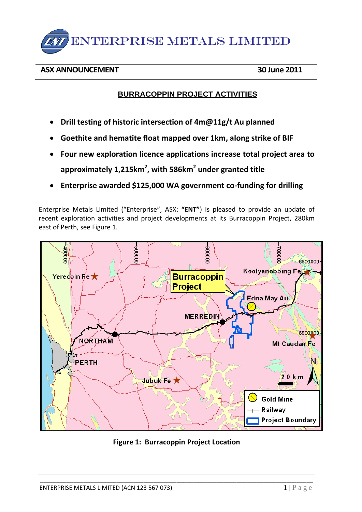

## **ASX ANNOUNCEMENT 30 June 2011**

# **BURRACOPPIN PROJECT ACTIVITIES**

- **Drill testing of historic intersection of 4m@11g/t Au planned**
- **Goethite and hematite float mapped over 1km, along strike of BIF**
- **Four new exploration licence applications increase total project area to approximately 1,215km2 , with 586km2 under granted title**
- **Enterprise awarded \$125,000 WA government co-funding for drilling**

Enterprise Metals Limited ("Enterprise", ASX: **"ENT"**) is pleased to provide an update of recent exploration activities and project developments at its Burracoppin Project, 280km east of Perth, see Figure 1.



**Figure 1: Burracoppin Project Location**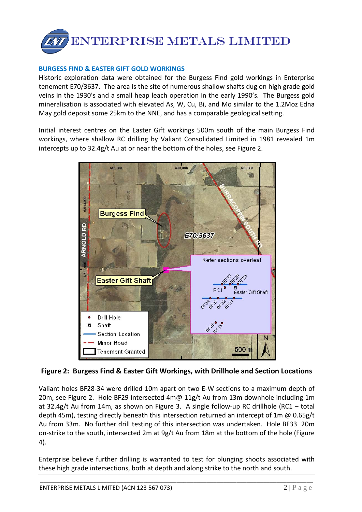

### **BURGESS FIND & EASTER GIFT GOLD WORKINGS**

Historic exploration data were obtained for the Burgess Find gold workings in Enterprise tenement E70/3637. The area is the site of numerous shallow shafts dug on high grade gold veins in the 1930's and a small heap leach operation in the early 1990's. The Burgess gold mineralisation is associated with elevated As, W, Cu, Bi, and Mo similar to the 1.2Moz Edna May gold deposit some 25km to the NNE, and has a comparable geological setting.

Initial interest centres on the Easter Gift workings 500m south of the main Burgess Find workings, where shallow RC drilling by Valiant Consolidated Limited in 1981 revealed 1m intercepts up to 32.4g/t Au at or near the bottom of the holes, see Figure 2.



**Figure 2: Burgess Find & Easter Gift Workings, with Drillhole and Section Locations**

Valiant holes BF28-34 were drilled 10m apart on two E-W sections to a maximum depth of 20m, see Figure 2. Hole BF29 intersected 4m@ 11g/t Au from 13m downhole including 1m at 32.4g/t Au from 14m, as shown on Figure 3. A single follow-up RC drillhole (RC1 – total depth 45m), testing directly beneath this intersection returned an intercept of 1m @ 0.65g/t Au from 33m. No further drill testing of this intersection was undertaken. Hole BF33 20m on-strike to the south, intersected 2m at 9g/t Au from 18m at the bottom of the hole (Figure 4).

Enterprise believe further drilling is warranted to test for plunging shoots associated with these high grade intersections, both at depth and along strike to the north and south.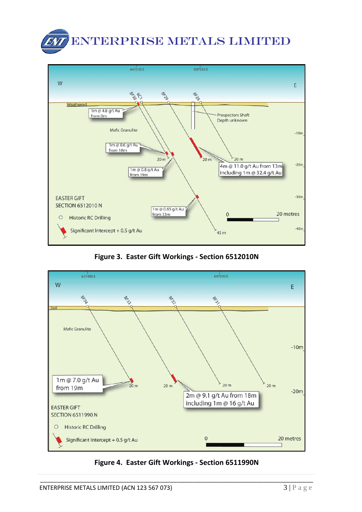



**Figure 3. Easter Gift Workings - Section 6512010N**



**Figure 4. Easter Gift Workings - Section 6511990N**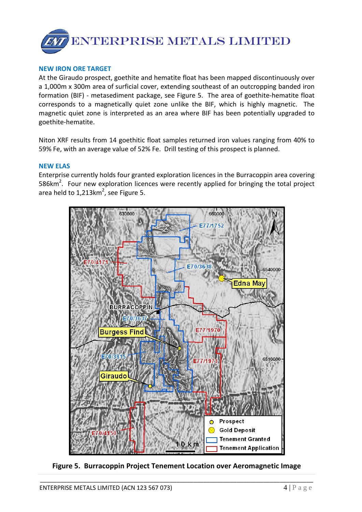

#### **NEW IRON ORE TARGET**

At the Giraudo prospect, goethite and hematite float has been mapped discontinuously over a 1,000m x 300m area of surficial cover, extending southeast of an outcropping banded iron formation (BIF) - metasediment package, see Figure 5. The area of goethite-hematite float corresponds to a magnetically quiet zone unlike the BIF, which is highly magnetic. The magnetic quiet zone is interpreted as an area where BIF has been potentially upgraded to goethite-hematite.

Niton XRF results from 14 goethitic float samples returned iron values ranging from 40% to 59% Fe, with an average value of 52% Fe. Drill testing of this prospect is planned.

#### **NEW ELAS**

Enterprise currently holds four granted exploration licences in the Burracoppin area covering 586 $km^2$ . Four new exploration licences were recently applied for bringing the total project area held to 1,213 $km^2$ , see Figure 5.



**Figure 5. Burracoppin Project Tenement Location over Aeromagnetic Image**